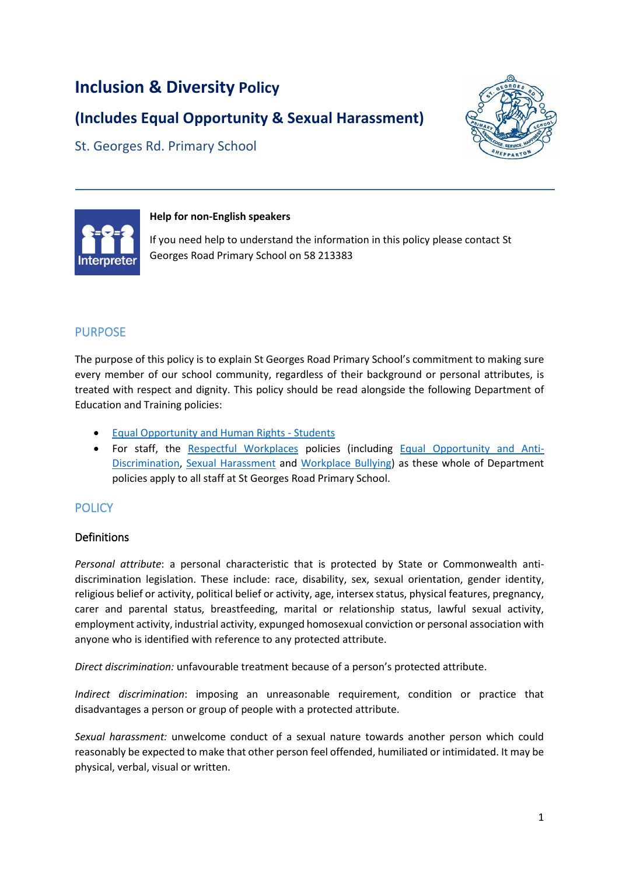# **Inclusion & Diversity Policy**

# **(Includes Equal Opportunity & Sexual Harassment)**

St. Georges Rd. Primary School





#### **Help for non-English speakers**

If you need help to understand the information in this policy please contact St Georges Road Primary School on 58 213383

## PURPOSE

The purpose of this policy is to explain St Georges Road Primary School's commitment to making sure every member of our school community, regardless of their background or personal attributes, is treated with respect and dignity. This policy should be read alongside the following Department of Education and Training policies:

- [Equal Opportunity and Human Rights -](https://www2.education.vic.gov.au/pal/equal-opportunity-human-rights-students/policy) Students
- For staff, the [Respectful Workplaces](https://www2.education.vic.gov.au/pal/respectful-workplaces/overview) policies (including [Equal Opportunity and Anti-](https://www2.education.vic.gov.au/pal/equal-opportunity/overview)[Discrimination,](https://www2.education.vic.gov.au/pal/equal-opportunity/overview) [Sexual Harassment](https://www2.education.vic.gov.au/pal/sexual-harassment/overview) and [Workplace Bullying\)](https://www2.education.vic.gov.au/pal/workplace-bullying/policy) as these whole of Department policies apply to all staff at St Georges Road Primary School.

## **POLICY**

### Definitions

*Personal attribute*: a personal characteristic that is protected by State or Commonwealth antidiscrimination legislation. These include: race, disability, sex, sexual orientation, gender identity, religious belief or activity, political belief or activity, age, intersex status, physical features, pregnancy, carer and parental status, breastfeeding, marital or relationship status, lawful sexual activity, employment activity, industrial activity, expunged homosexual conviction or personal association with anyone who is identified with reference to any protected attribute.

*Direct discrimination:* unfavourable treatment because of a person's protected attribute.

*Indirect discrimination*: imposing an unreasonable requirement, condition or practice that disadvantages a person or group of people with a protected attribute.

*Sexual harassment:* unwelcome conduct of a sexual nature towards another person which could reasonably be expected to make that other person feel offended, humiliated or intimidated. It may be physical, verbal, visual or written.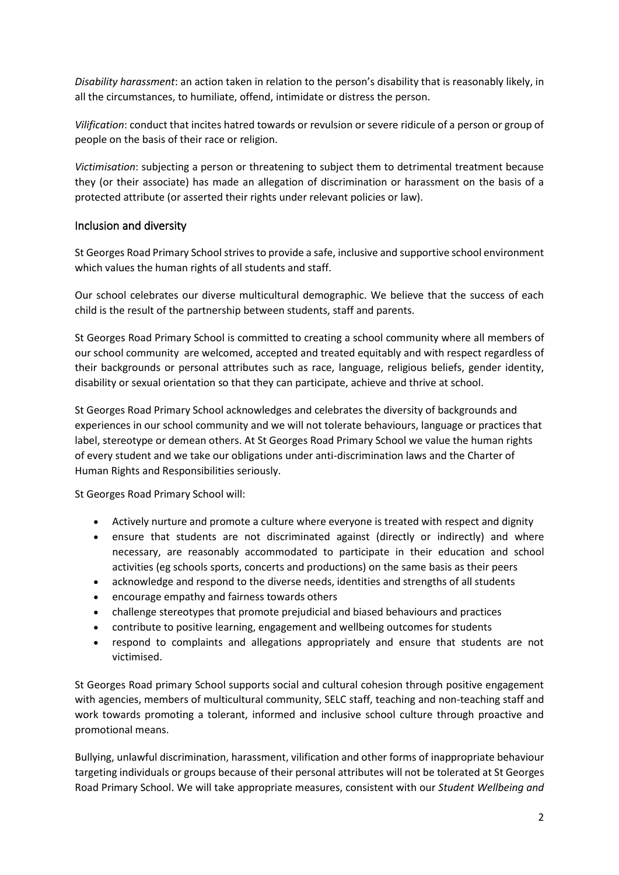*Disability harassment*: an action taken in relation to the person's disability that is reasonably likely, in all the circumstances, to humiliate, offend, intimidate or distress the person.

*Vilification*: conduct that incites hatred towards or revulsion or severe ridicule of a person or group of people on the basis of their race or religion.

*Victimisation*: subjecting a person or threatening to subject them to detrimental treatment because they (or their associate) has made an allegation of discrimination or harassment on the basis of a protected attribute (or asserted their rights under relevant policies or law).

### Inclusion and diversity

St Georges Road Primary School strives to provide a safe, inclusive and supportive school environment which values the human rights of all students and staff.

Our school celebrates our diverse multicultural demographic. We believe that the success of each child is the result of the partnership between students, staff and parents.

St Georges Road Primary School is committed to creating a school community where all members of our school community are welcomed, accepted and treated equitably and with respect regardless of their backgrounds or personal attributes such as race, language, religious beliefs, gender identity, disability or sexual orientation so that they can participate, achieve and thrive at school.

St Georges Road Primary School acknowledges and celebrates the diversity of backgrounds and experiences in our school community and we will not tolerate behaviours, language or practices that label, stereotype or demean others. At St Georges Road Primary School we value the human rights of every student and we take our obligations under anti-discrimination laws and the Charter of Human Rights and Responsibilities seriously.

St Georges Road Primary School will:

- Actively nurture and promote a culture where everyone is treated with respect and dignity
- ensure that students are not discriminated against (directly or indirectly) and where necessary, are reasonably accommodated to participate in their education and school activities (eg schools sports, concerts and productions) on the same basis as their peers
- acknowledge and respond to the diverse needs, identities and strengths of all students
- encourage empathy and fairness towards others
- challenge stereotypes that promote prejudicial and biased behaviours and practices
- contribute to positive learning, engagement and wellbeing outcomes for students
- respond to complaints and allegations appropriately and ensure that students are not victimised.

St Georges Road primary School supports social and cultural cohesion through positive engagement with agencies, members of multicultural community, SELC staff, teaching and non-teaching staff and work towards promoting a tolerant, informed and inclusive school culture through proactive and promotional means.

Bullying, unlawful discrimination, harassment, vilification and other forms of inappropriate behaviour targeting individuals or groups because of their personal attributes will not be tolerated at St Georges Road Primary School. We will take appropriate measures, consistent with our *Student Wellbeing and*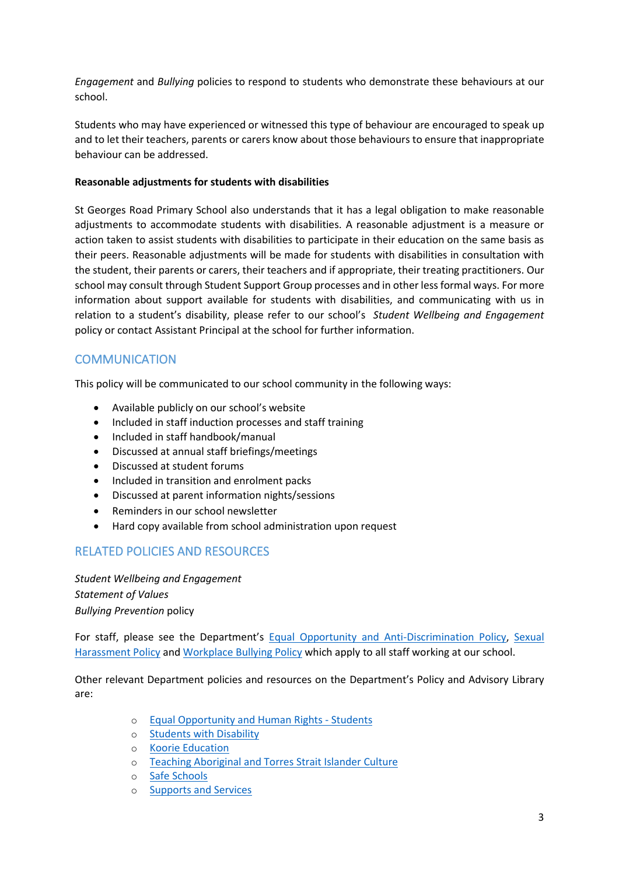*Engagement* and *Bullying* policies to respond to students who demonstrate these behaviours at our school.

Students who may have experienced or witnessed this type of behaviour are encouraged to speak up and to let their teachers, parents or carers know about those behaviours to ensure that inappropriate behaviour can be addressed.

#### **Reasonable adjustments for students with disabilities**

St Georges Road Primary School also understands that it has a legal obligation to make reasonable adjustments to accommodate students with disabilities. A reasonable adjustment is a measure or action taken to assist students with disabilities to participate in their education on the same basis as their peers. Reasonable adjustments will be made for students with disabilities in consultation with the student, their parents or carers, their teachers and if appropriate, their treating practitioners. Our school may consult through Student Support Group processes and in other less formal ways. For more information about support available for students with disabilities, and communicating with us in relation to a student's disability, please refer to our school's *Student Wellbeing and Engagement* policy or contact Assistant Principal at the school for further information.

### **COMMUNICATION**

This policy will be communicated to our school community in the following ways:

- Available publicly on our school's website
- Included in staff induction processes and staff training
- Included in staff handbook/manual
- Discussed at annual staff briefings/meetings
- Discussed at student forums
- Included in transition and enrolment packs
- Discussed at parent information nights/sessions
- Reminders in our school newsletter
- Hard copy available from school administration upon request

### RELATED POLICIES AND RESOURCES

*Student Wellbeing and Engagement Statement of Values Bullying Prevention* policy

For staff, please see the Department's [Equal Opportunity and Anti-Discrimination Policy,](https://www2.education.vic.gov.au/pal/equal-opportunity/policy-and-guidelines) [Sexual](https://www2.education.vic.gov.au/pal/sexual-harassment/policy-and-guidelines)  [Harassment Policy](https://www2.education.vic.gov.au/pal/sexual-harassment/policy-and-guidelines) and [Workplace Bullying Policy](https://www2.education.vic.gov.au/pal/workplace-bullying/policy) which apply to all staff working at our school.

Other relevant Department policies and resources on the Department's Policy and Advisory Library are:

- o [Equal Opportunity and Human Rights -](https://www2.education.vic.gov.au/pal/equal-opportunity-human-rights-students/policy) Students
- o [Students with Disability](https://www2.education.vic.gov.au/pal/students-disability/policy)
- o [Koorie Education](https://www2.education.vic.gov.au/pal/koorie-education/policy)
- o [Teaching Aboriginal and Torres Strait](http://www.education.vic.gov.au/school/teachers/teachingresources/multicultural/Pages/koorieculture.aspx) Islander Culture
- o [Safe Schools](http://www.education.vic.gov.au/about/programs/health/Pages/safe-schools-coalition.aspx?Redirect=1#link8)
- o [Supports and Services](http://www.education.vic.gov.au/school/parents/needs/Pages/supportservices.aspx)